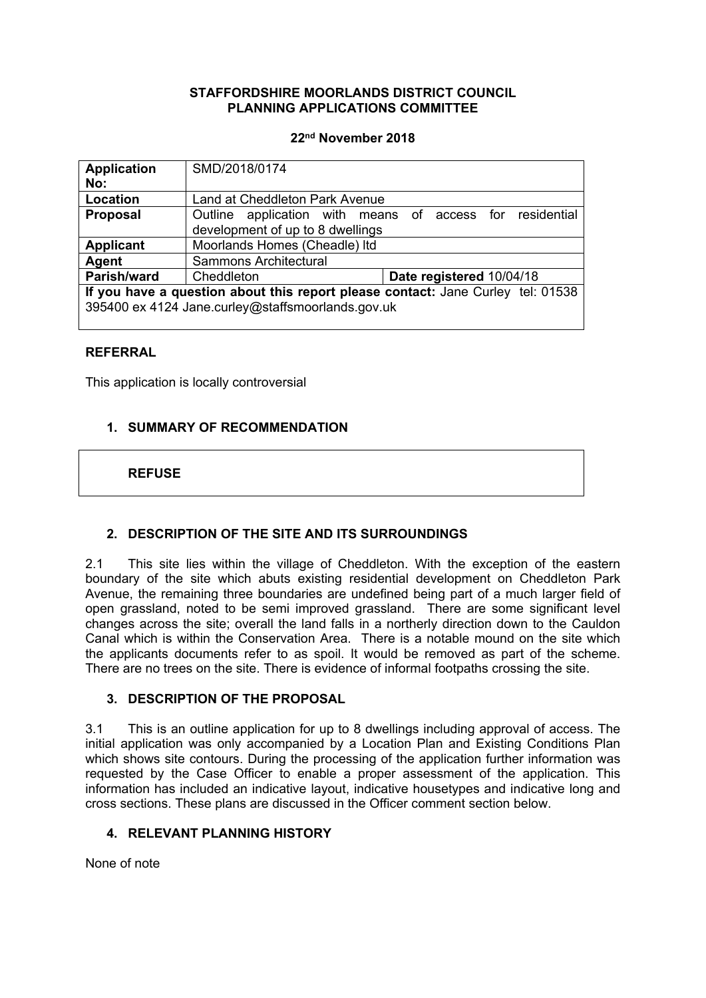### **STAFFORDSHIRE MOORLANDS DISTRICT COUNCIL PLANNING APPLICATIONS COMMITTEE**

### **22nd November 2018**

| <b>Application</b>                                                              | SMD/2018/0174                                            |
|---------------------------------------------------------------------------------|----------------------------------------------------------|
| No:                                                                             |                                                          |
| Location                                                                        | Land at Cheddleton Park Avenue                           |
| <b>Proposal</b>                                                                 | Outline application with means of access for residential |
|                                                                                 | development of up to 8 dwellings                         |
| <b>Applicant</b>                                                                | Moorlands Homes (Cheadle) Itd                            |
| Agent                                                                           | <b>Sammons Architectural</b>                             |
| Parish/ward                                                                     | Cheddleton<br>Date registered 10/04/18                   |
| If you have a question about this report please contact: Jane Curley tel: 01538 |                                                          |
| 395400 ex 4124 Jane.curley@staffsmoorlands.gov.uk                               |                                                          |
|                                                                                 |                                                          |

## **REFERRAL**

This application is locally controversial

## **1. SUMMARY OF RECOMMENDATION**

## **REFUSE**

## **2. DESCRIPTION OF THE SITE AND ITS SURROUNDINGS**

2.1 This site lies within the village of Cheddleton. With the exception of the eastern boundary of the site which abuts existing residential development on Cheddleton Park Avenue, the remaining three boundaries are undefined being part of a much larger field of open grassland, noted to be semi improved grassland. There are some significant level changes across the site; overall the land falls in a northerly direction down to the Cauldon Canal which is within the Conservation Area. There is a notable mound on the site which the applicants documents refer to as spoil. It would be removed as part of the scheme. There are no trees on the site. There is evidence of informal footpaths crossing the site.

## **3. DESCRIPTION OF THE PROPOSAL**

3.1 This is an outline application for up to 8 dwellings including approval of access. The initial application was only accompanied by a Location Plan and Existing Conditions Plan which shows site contours. During the processing of the application further information was requested by the Case Officer to enable a proper assessment of the application. This information has included an indicative layout, indicative housetypes and indicative long and cross sections. These plans are discussed in the Officer comment section below.

## **4. RELEVANT PLANNING HISTORY**

None of note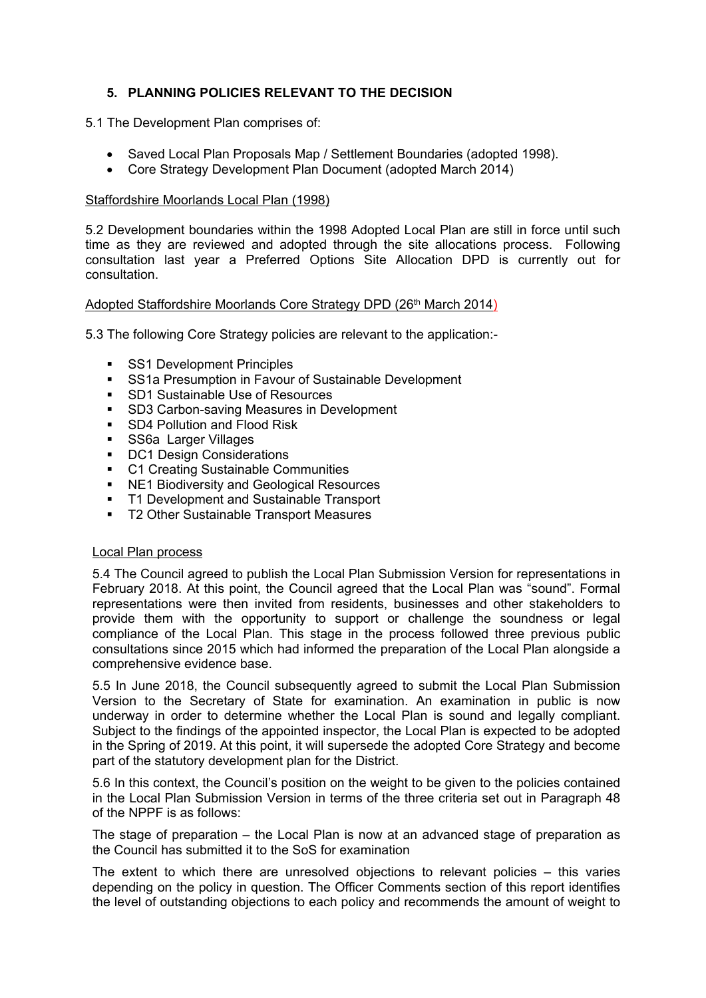## **5. PLANNING POLICIES RELEVANT TO THE DECISION**

5.1 The Development Plan comprises of:

- Saved Local Plan Proposals Map / Settlement Boundaries (adopted 1998).
- Core Strategy Development Plan Document (adopted March 2014)

### Staffordshire Moorlands Local Plan (1998)

5.2 Development boundaries within the 1998 Adopted Local Plan are still in force until such time as they are reviewed and adopted through the site allocations process. Following consultation last year a Preferred Options Site Allocation DPD is currently out for consultation.

### Adopted Staffordshire Moorlands Core Strategy DPD (26<sup>th</sup> March 2014)

5.3 The following Core Strategy policies are relevant to the application:-

- SS1 Development Principles
- SS1a Presumption in Favour of Sustainable Development
- **SD1 Sustainable Use of Resources**
- SD3 Carbon-saving Measures in Development
- **SD4 Pollution and Flood Risk**
- SS6a Larger Villages
- **DC1 Design Considerations**
- C1 Creating Sustainable Communities
- **NE1 Biodiversity and Geological Resources**
- T1 Development and Sustainable Transport
- T2 Other Sustainable Transport Measures

#### Local Plan process

5.4 The Council agreed to publish the Local Plan Submission Version for representations in February 2018. At this point, the Council agreed that the Local Plan was "sound". Formal representations were then invited from residents, businesses and other stakeholders to provide them with the opportunity to support or challenge the soundness or legal compliance of the Local Plan. This stage in the process followed three previous public consultations since 2015 which had informed the preparation of the Local Plan alongside a comprehensive evidence base.

5.5 In June 2018, the Council subsequently agreed to submit the Local Plan Submission Version to the Secretary of State for examination. An examination in public is now underway in order to determine whether the Local Plan is sound and legally compliant. Subject to the findings of the appointed inspector, the Local Plan is expected to be adopted in the Spring of 2019. At this point, it will supersede the adopted Core Strategy and become part of the statutory development plan for the District.

5.6 In this context, the Council's position on the weight to be given to the policies contained in the Local Plan Submission Version in terms of the three criteria set out in Paragraph 48 of the NPPF is as follows:

The stage of preparation – the Local Plan is now at an advanced stage of preparation as the Council has submitted it to the SoS for examination

The extent to which there are unresolved objections to relevant policies – this varies depending on the policy in question. The Officer Comments section of this report identifies the level of outstanding objections to each policy and recommends the amount of weight to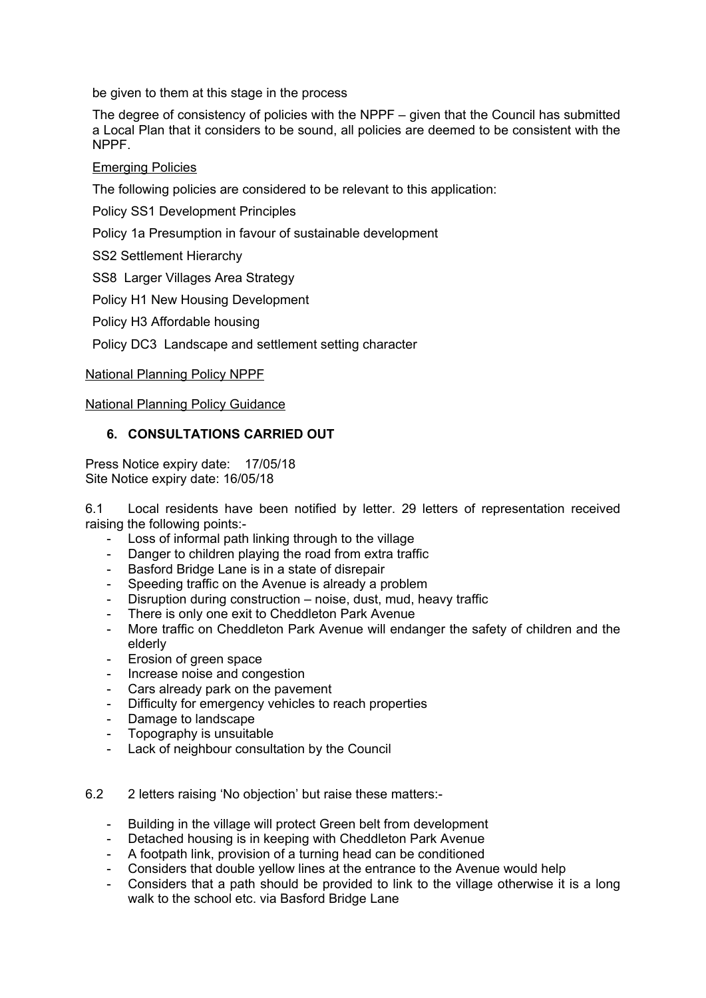be given to them at this stage in the process

The degree of consistency of policies with the NPPF – given that the Council has submitted a Local Plan that it considers to be sound, all policies are deemed to be consistent with the NPPF.

## Emerging Policies

The following policies are considered to be relevant to this application:

Policy SS1 Development Principles

Policy 1a Presumption in favour of sustainable development

SS2 Settlement Hierarchy

SS8 Larger Villages Area Strategy

Policy H1 New Housing Development

Policy H3 Affordable housing

Policy DC3 Landscape and settlement setting character

#### National Planning Policy NPPF

National Planning Policy Guidance

## **6. CONSULTATIONS CARRIED OUT**

Press Notice expiry date: 17/05/18 Site Notice expiry date: 16/05/18

6.1 Local residents have been notified by letter. 29 letters of representation received raising the following points:-

- Loss of informal path linking through to the village
- Danger to children playing the road from extra traffic
- Basford Bridge Lane is in a state of disrepair
- Speeding traffic on the Avenue is already a problem
- Disruption during construction noise, dust, mud, heavy traffic
- There is only one exit to Cheddleton Park Avenue
- More traffic on Cheddleton Park Avenue will endanger the safety of children and the elderly
- Erosion of green space
- Increase noise and congestion
- Cars already park on the pavement
- Difficulty for emergency vehicles to reach properties
- Damage to landscape
- Topography is unsuitable
- Lack of neighbour consultation by the Council
- 6.2 2 letters raising 'No objection' but raise these matters:-
	- Building in the village will protect Green belt from development
	- Detached housing is in keeping with Cheddleton Park Avenue
	- A footpath link, provision of a turning head can be conditioned
	- Considers that double yellow lines at the entrance to the Avenue would help
	- Considers that a path should be provided to link to the village otherwise it is a long walk to the school etc. via Basford Bridge Lane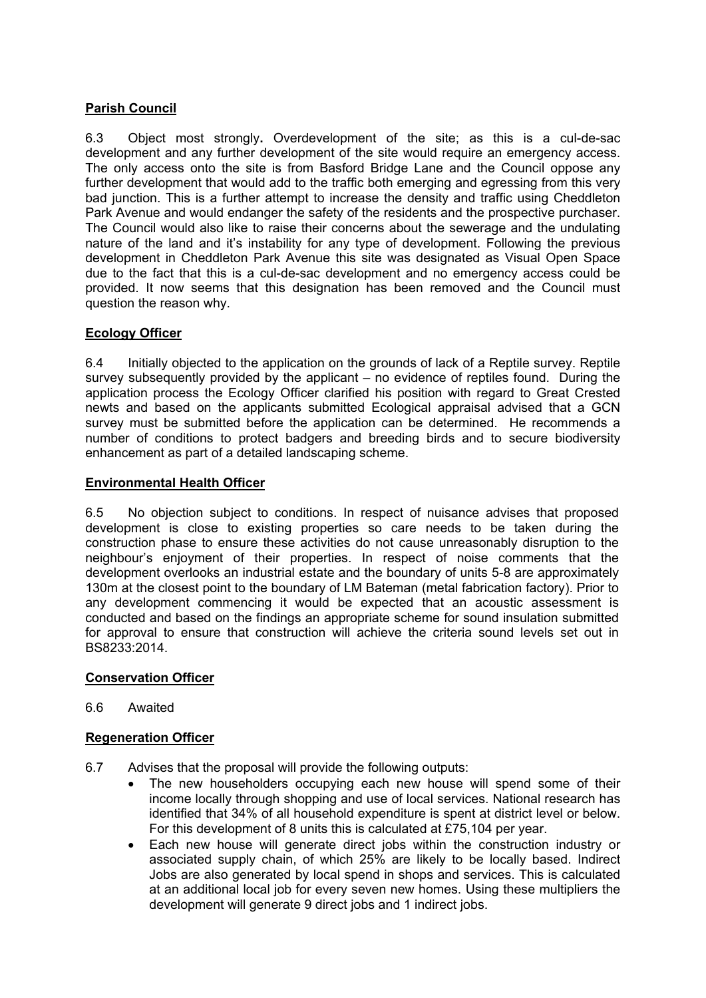# **Parish Council**

6.3 Object most strongly**.** Overdevelopment of the site; as this is a cul-de-sac development and any further development of the site would require an emergency access. The only access onto the site is from Basford Bridge Lane and the Council oppose any further development that would add to the traffic both emerging and egressing from this very bad junction. This is a further attempt to increase the density and traffic using Cheddleton Park Avenue and would endanger the safety of the residents and the prospective purchaser. The Council would also like to raise their concerns about the sewerage and the undulating nature of the land and it's instability for any type of development. Following the previous development in Cheddleton Park Avenue this site was designated as Visual Open Space due to the fact that this is a cul-de-sac development and no emergency access could be provided. It now seems that this designation has been removed and the Council must question the reason why.

## **Ecology Officer**

6.4 Initially objected to the application on the grounds of lack of a Reptile survey. Reptile survey subsequently provided by the applicant – no evidence of reptiles found. During the application process the Ecology Officer clarified his position with regard to Great Crested newts and based on the applicants submitted Ecological appraisal advised that a GCN survey must be submitted before the application can be determined. He recommends a number of conditions to protect badgers and breeding birds and to secure biodiversity enhancement as part of a detailed landscaping scheme.

## **Environmental Health Officer**

6.5 No objection subject to conditions. In respect of nuisance advises that proposed development is close to existing properties so care needs to be taken during the construction phase to ensure these activities do not cause unreasonably disruption to the neighbour's enjoyment of their properties. In respect of noise comments that the development overlooks an industrial estate and the boundary of units 5-8 are approximately 130m at the closest point to the boundary of LM Bateman (metal fabrication factory). Prior to any development commencing it would be expected that an acoustic assessment is conducted and based on the findings an appropriate scheme for sound insulation submitted for approval to ensure that construction will achieve the criteria sound levels set out in BS8233:2014.

## **Conservation Officer**

6.6 Awaited

## **Regeneration Officer**

- 6.7 Advises that the proposal will provide the following outputs:
	- The new householders occupying each new house will spend some of their income locally through shopping and use of local services. National research has identified that 34% of all household expenditure is spent at district level or below. For this development of 8 units this is calculated at £75,104 per year.
	- Each new house will generate direct jobs within the construction industry or associated supply chain, of which 25% are likely to be locally based. Indirect Jobs are also generated by local spend in shops and services. This is calculated at an additional local job for every seven new homes. Using these multipliers the development will generate 9 direct jobs and 1 indirect jobs.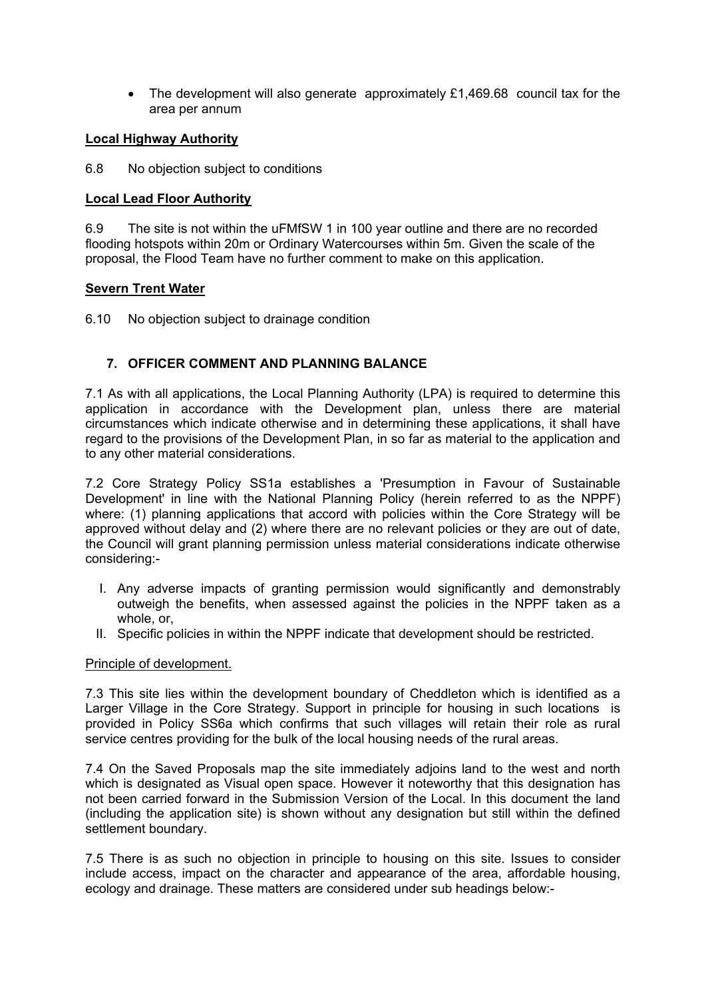• The development will also generate approximately £1,469.68 council tax for the area per annum

### **Local Highway Authority**

6.8 No objection subject to conditions

### **Local Lead Floor Authority**

6.9 The site is not within the uFMfSW 1 in 100 year outline and there are no recorded flooding hotspots within 20m or Ordinary Watercourses within 5m. Given the scale of the proposal, the Flood Team have no further comment to make on this application.

### **Severn Trent Water**

6.10 No objection subject to drainage condition

## **7. OFFICER COMMENT AND PLANNING BALANCE**

7.1 As with all applications, the Local Planning Authority (LPA) is required to determine this application in accordance with the Development plan, unless there are material circumstances which indicate otherwise and in determining these applications, it shall have regard to the provisions of the Development Plan, in so far as material to the application and to any other material considerations.

7.2 Core Strategy Policy SS1a establishes a 'Presumption in Favour of Sustainable Development' in line with the National Planning Policy (herein referred to as the NPPF) where: (1) planning applications that accord with policies within the Core Strategy will be approved without delay and (2) where there are no relevant policies or they are out of date, the Council will grant planning permission unless material considerations indicate otherwise considering:-

- I. Any adverse impacts of granting permission would significantly and demonstrably outweigh the benefits, when assessed against the policies in the NPPF taken as a whole, or,
- II. Specific policies in within the NPPF indicate that development should be restricted.

#### Principle of development.

7.3 This site lies within the development boundary of Cheddleton which is identified as a Larger Village in the Core Strategy. Support in principle for housing in such locations is provided in Policy SS6a which confirms that such villages will retain their role as rural service centres providing for the bulk of the local housing needs of the rural areas.

7.4 On the Saved Proposals map the site immediately adjoins land to the west and north which is designated as Visual open space. However it noteworthy that this designation has not been carried forward in the Submission Version of the Local. In this document the land (including the application site) is shown without any designation but still within the defined settlement boundary.

7.5 There is as such no objection in principle to housing on this site. Issues to consider include access, impact on the character and appearance of the area, affordable housing, ecology and drainage. These matters are considered under sub headings below:-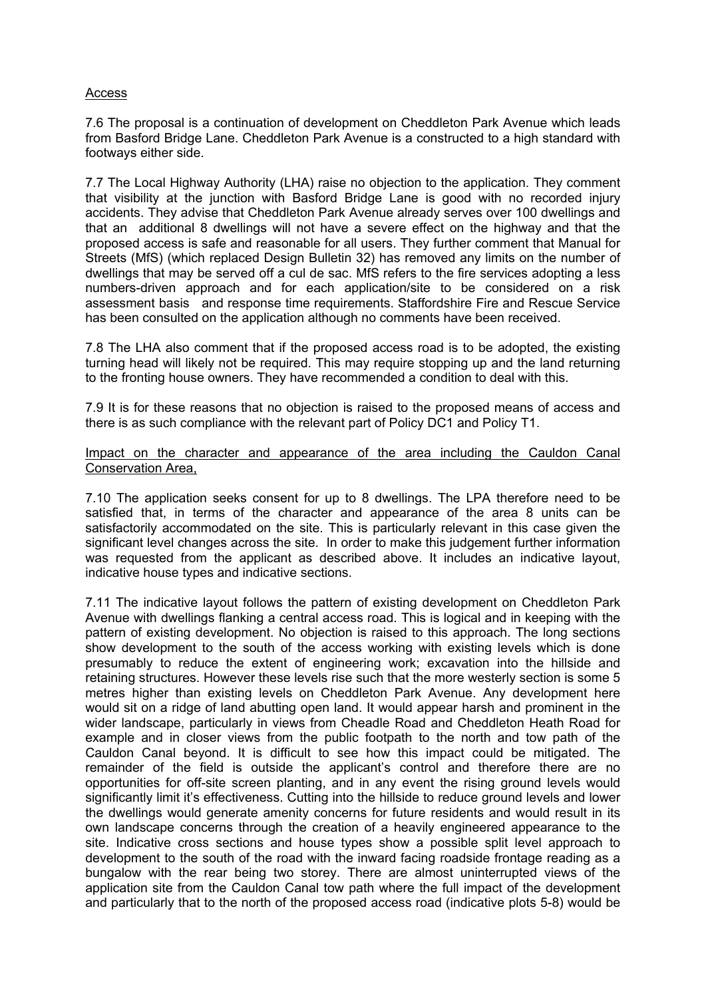### Access

7.6 The proposal is a continuation of development on Cheddleton Park Avenue which leads from Basford Bridge Lane. Cheddleton Park Avenue is a constructed to a high standard with footways either side.

7.7 The Local Highway Authority (LHA) raise no objection to the application. They comment that visibility at the junction with Basford Bridge Lane is good with no recorded injury accidents. They advise that Cheddleton Park Avenue already serves over 100 dwellings and that an additional 8 dwellings will not have a severe effect on the highway and that the proposed access is safe and reasonable for all users. They further comment that Manual for Streets (MfS) (which replaced Design Bulletin 32) has removed any limits on the number of dwellings that may be served off a cul de sac. MfS refers to the fire services adopting a less numbers-driven approach and for each application/site to be considered on a risk assessment basis and response time requirements. Staffordshire Fire and Rescue Service has been consulted on the application although no comments have been received.

7.8 The LHA also comment that if the proposed access road is to be adopted, the existing turning head will likely not be required. This may require stopping up and the land returning to the fronting house owners. They have recommended a condition to deal with this.

7.9 It is for these reasons that no objection is raised to the proposed means of access and there is as such compliance with the relevant part of Policy DC1 and Policy T1.

#### Impact on the character and appearance of the area including the Cauldon Canal Conservation Area,

7.10 The application seeks consent for up to 8 dwellings. The LPA therefore need to be satisfied that, in terms of the character and appearance of the area 8 units can be satisfactorily accommodated on the site. This is particularly relevant in this case given the significant level changes across the site. In order to make this judgement further information was requested from the applicant as described above. It includes an indicative layout, indicative house types and indicative sections.

7.11 The indicative layout follows the pattern of existing development on Cheddleton Park Avenue with dwellings flanking a central access road. This is logical and in keeping with the pattern of existing development. No objection is raised to this approach. The long sections show development to the south of the access working with existing levels which is done presumably to reduce the extent of engineering work; excavation into the hillside and retaining structures. However these levels rise such that the more westerly section is some 5 metres higher than existing levels on Cheddleton Park Avenue. Any development here would sit on a ridge of land abutting open land. It would appear harsh and prominent in the wider landscape, particularly in views from Cheadle Road and Cheddleton Heath Road for example and in closer views from the public footpath to the north and tow path of the Cauldon Canal beyond. It is difficult to see how this impact could be mitigated. The remainder of the field is outside the applicant's control and therefore there are no opportunities for off-site screen planting, and in any event the rising ground levels would significantly limit it's effectiveness. Cutting into the hillside to reduce ground levels and lower the dwellings would generate amenity concerns for future residents and would result in its own landscape concerns through the creation of a heavily engineered appearance to the site. Indicative cross sections and house types show a possible split level approach to development to the south of the road with the inward facing roadside frontage reading as a bungalow with the rear being two storey. There are almost uninterrupted views of the application site from the Cauldon Canal tow path where the full impact of the development and particularly that to the north of the proposed access road (indicative plots 5-8) would be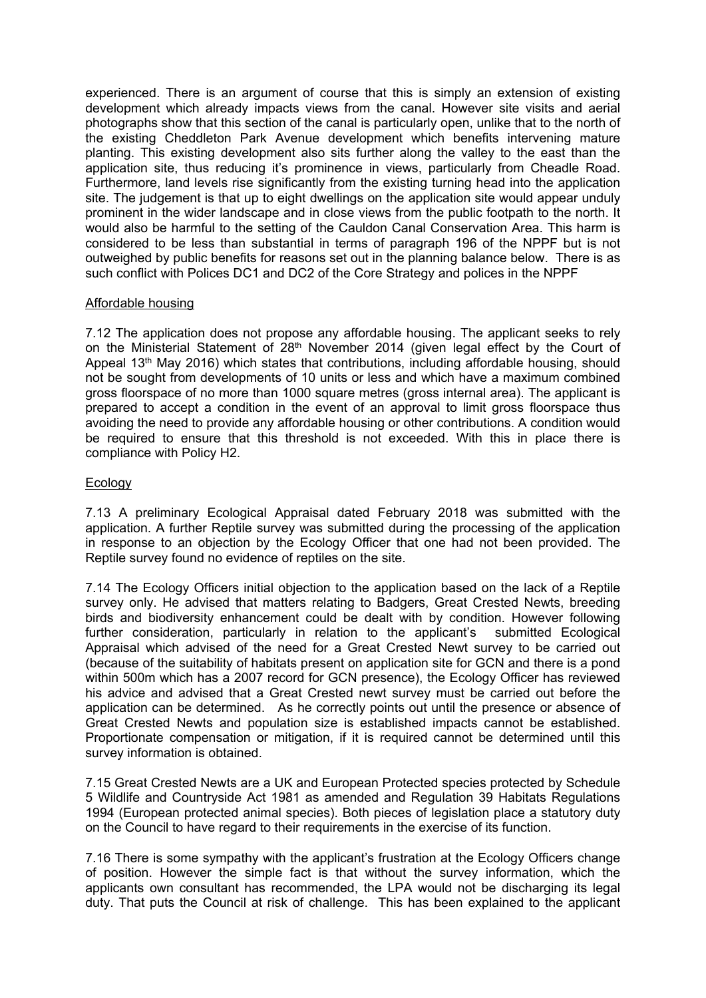experienced. There is an argument of course that this is simply an extension of existing development which already impacts views from the canal. However site visits and aerial photographs show that this section of the canal is particularly open, unlike that to the north of the existing Cheddleton Park Avenue development which benefits intervening mature planting. This existing development also sits further along the valley to the east than the application site, thus reducing it's prominence in views, particularly from Cheadle Road. Furthermore, land levels rise significantly from the existing turning head into the application site. The judgement is that up to eight dwellings on the application site would appear unduly prominent in the wider landscape and in close views from the public footpath to the north. It would also be harmful to the setting of the Cauldon Canal Conservation Area. This harm is considered to be less than substantial in terms of paragraph 196 of the NPPF but is not outweighed by public benefits for reasons set out in the planning balance below. There is as such conflict with Polices DC1 and DC2 of the Core Strategy and polices in the NPPF

## Affordable housing

7.12 The application does not propose any affordable housing. The applicant seeks to rely on the Ministerial Statement of 28<sup>th</sup> November 2014 (given legal effect by the Court of Appeal 13th May 2016) which states that contributions, including affordable housing, should not be sought from developments of 10 units or less and which have a maximum combined gross floorspace of no more than 1000 square metres (gross internal area). The applicant is prepared to accept a condition in the event of an approval to limit gross floorspace thus avoiding the need to provide any affordable housing or other contributions. A condition would be required to ensure that this threshold is not exceeded. With this in place there is compliance with Policy H2.

### Ecology

7.13 A preliminary Ecological Appraisal dated February 2018 was submitted with the application. A further Reptile survey was submitted during the processing of the application in response to an objection by the Ecology Officer that one had not been provided. The Reptile survey found no evidence of reptiles on the site.

7.14 The Ecology Officers initial objection to the application based on the lack of a Reptile survey only. He advised that matters relating to Badgers, Great Crested Newts, breeding birds and biodiversity enhancement could be dealt with by condition. However following further consideration, particularly in relation to the applicant's submitted Ecological Appraisal which advised of the need for a Great Crested Newt survey to be carried out (because of the suitability of habitats present on application site for GCN and there is a pond within 500m which has a 2007 record for GCN presence), the Ecology Officer has reviewed his advice and advised that a Great Crested newt survey must be carried out before the application can be determined. As he correctly points out until the presence or absence of Great Crested Newts and population size is established impacts cannot be established. Proportionate compensation or mitigation, if it is required cannot be determined until this survey information is obtained.

7.15 Great Crested Newts are a UK and European Protected species protected by Schedule 5 Wildlife and Countryside Act 1981 as amended and Regulation 39 Habitats Regulations 1994 (European protected animal species). Both pieces of legislation place a statutory duty on the Council to have regard to their requirements in the exercise of its function.

7.16 There is some sympathy with the applicant's frustration at the Ecology Officers change of position. However the simple fact is that without the survey information, which the applicants own consultant has recommended, the LPA would not be discharging its legal duty. That puts the Council at risk of challenge. This has been explained to the applicant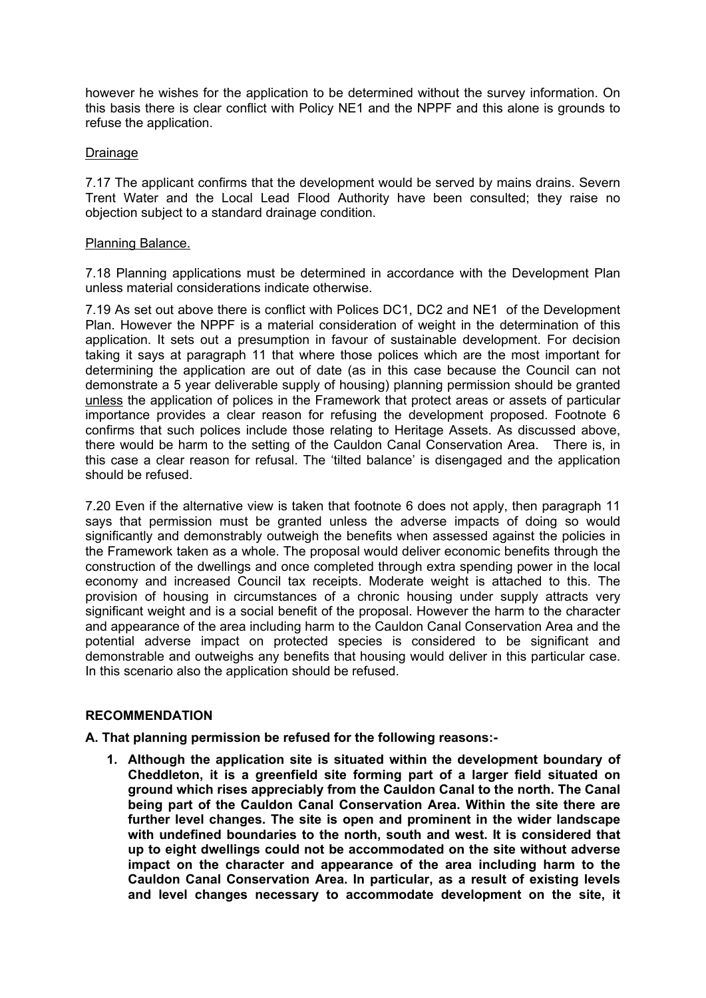however he wishes for the application to be determined without the survey information. On this basis there is clear conflict with Policy NE1 and the NPPF and this alone is grounds to refuse the application.

## Drainage

7.17 The applicant confirms that the development would be served by mains drains. Severn Trent Water and the Local Lead Flood Authority have been consulted; they raise no objection subject to a standard drainage condition.

## Planning Balance.

7.18 Planning applications must be determined in accordance with the Development Plan unless material considerations indicate otherwise.

7.19 As set out above there is conflict with Polices DC1, DC2 and NE1 of the Development Plan. However the NPPF is a material consideration of weight in the determination of this application. It sets out a presumption in favour of sustainable development. For decision taking it says at paragraph 11 that where those polices which are the most important for determining the application are out of date (as in this case because the Council can not demonstrate a 5 year deliverable supply of housing) planning permission should be granted unless the application of polices in the Framework that protect areas or assets of particular importance provides a clear reason for refusing the development proposed. Footnote 6 confirms that such polices include those relating to Heritage Assets. As discussed above, there would be harm to the setting of the Cauldon Canal Conservation Area. There is, in this case a clear reason for refusal. The 'tilted balance' is disengaged and the application should be refused.

7.20 Even if the alternative view is taken that footnote 6 does not apply, then paragraph 11 says that permission must be granted unless the adverse impacts of doing so would significantly and demonstrably outweigh the benefits when assessed against the policies in the Framework taken as a whole. The proposal would deliver economic benefits through the construction of the dwellings and once completed through extra spending power in the local economy and increased Council tax receipts. Moderate weight is attached to this. The provision of housing in circumstances of a chronic housing under supply attracts very significant weight and is a social benefit of the proposal. However the harm to the character and appearance of the area including harm to the Cauldon Canal Conservation Area and the potential adverse impact on protected species is considered to be significant and demonstrable and outweighs any benefits that housing would deliver in this particular case. In this scenario also the application should be refused.

## **RECOMMENDATION**

**A. That planning permission be refused for the following reasons:-**

**1. Although the application site is situated within the development boundary of Cheddleton, it is a greenfield site forming part of a larger field situated on ground which rises appreciably from the Cauldon Canal to the north. The Canal being part of the Cauldon Canal Conservation Area. Within the site there are further level changes. The site is open and prominent in the wider landscape with undefined boundaries to the north, south and west. It is considered that up to eight dwellings could not be accommodated on the site without adverse impact on the character and appearance of the area including harm to the Cauldon Canal Conservation Area. In particular, as a result of existing levels and level changes necessary to accommodate development on the site, it**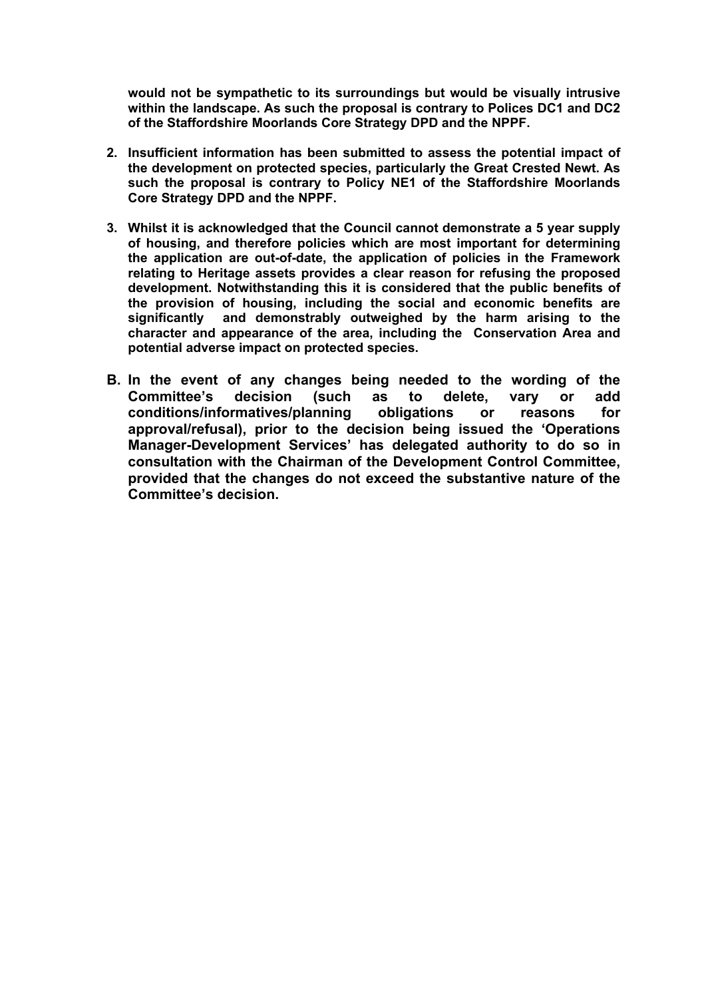**would not be sympathetic to its surroundings but would be visually intrusive within the landscape. As such the proposal is contrary to Polices DC1 and DC2 of the Staffordshire Moorlands Core Strategy DPD and the NPPF.**

- **2. Insufficient information has been submitted to assess the potential impact of the development on protected species, particularly the Great Crested Newt. As such the proposal is contrary to Policy NE1 of the Staffordshire Moorlands Core Strategy DPD and the NPPF.**
- **3. Whilst it is acknowledged that the Council cannot demonstrate a 5 year supply of housing, and therefore policies which are most important for determining the application are out-of-date, the application of policies in the Framework relating to Heritage assets provides a clear reason for refusing the proposed development. Notwithstanding this it is considered that the public benefits of the provision of housing, including the social and economic benefits are significantly and demonstrably outweighed by the harm arising to the character and appearance of the area, including the Conservation Area and potential adverse impact on protected species.**
- **B. In the event of any changes being needed to the wording of the Committee's decision (such as to delete, vary or add conditions/informatives/planning obligations or reasons for approval/refusal), prior to the decision being issued the 'Operations Manager-Development Services' has delegated authority to do so in consultation with the Chairman of the Development Control Committee, provided that the changes do not exceed the substantive nature of the Committee's decision.**